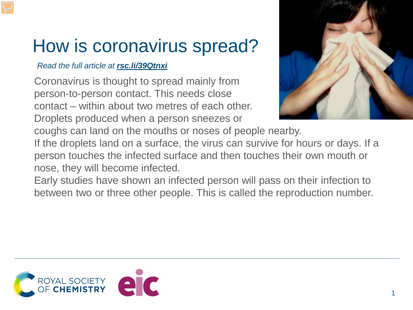## How is coronavirus spread?

## *Read the full article at rsc.li/39Qtnxi*

Coronavirus is thought to spread mainly from person-to-person contact. This needs close contact – within about two metres of each other. Droplets produced when a person sneezes or



coughs can land on the mouths or noses of people nearby.

If the droplets land on a surface, the virus can survive for hours or days. If a person touches the infected surface and then touches their own mouth or nose, they will become infected.

Early studies have shown an infected person will pass on their infection to between two or three other people. This is called the reproduction number.